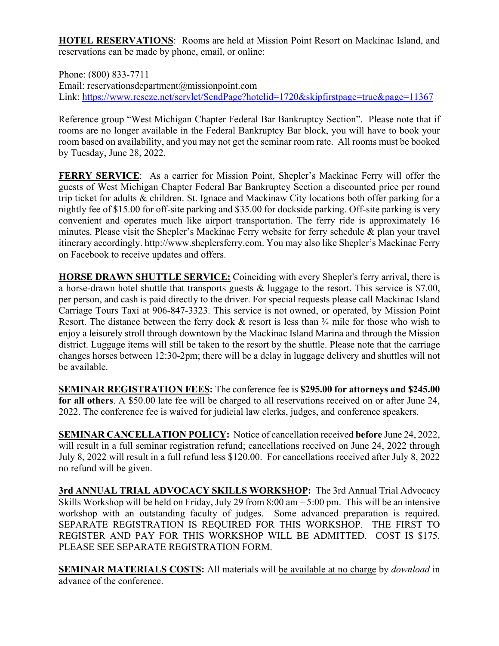**HOTEL RESERVATIONS**: Rooms are held at Mission Point Resort on Mackinac Island, and reservations can be made by phone, email, or online:

Phone: (800) 833-7711 Email: reservationsdepartment@missionpoint.com Link: https://www.reseze.net/servlet/SendPage?hotelid=1720&skipfirstpage=true&page=11367

Reference group "West Michigan Chapter Federal Bar Bankruptcy Section". Please note that if rooms are no longer available in the Federal Bankruptcy Bar block, you will have to book your room based on availability, and you may not get the seminar room rate. All rooms must be booked by Tuesday, June 28, 2022.

**FERRY SERVICE**: As a carrier for Mission Point, Shepler's Mackinac Ferry will offer the guests of West Michigan Chapter Federal Bar Bankruptcy Section a discounted price per round trip ticket for adults & children. St. Ignace and Mackinaw City locations both offer parking for a nightly fee of \$15.00 for off-site parking and \$35.00 for dockside parking. Off-site parking is very convenient and operates much like airport transportation. The ferry ride is approximately 16 minutes. Please visit the Shepler's Mackinac Ferry website for ferry schedule & plan your travel itinerary accordingly. http://www.sheplersferry.com. You may also like Shepler's Mackinac Ferry on Facebook to receive updates and offers.

**HORSE DRAWN SHUTTLE SERVICE:** Coinciding with every Shepler's ferry arrival, there is a horse-drawn hotel shuttle that transports guests & luggage to the resort. This service is \$7.00, per person, and cash is paid directly to the driver. For special requests please call Mackinac Island Carriage Tours Taxi at 906-847-3323. This service is not owned, or operated, by Mission Point Resort. The distance between the ferry dock  $\&$  resort is less than  $\frac{3}{4}$  mile for those who wish to enjoy a leisurely stroll through downtown by the Mackinac Island Marina and through the Mission district. Luggage items will still be taken to the resort by the shuttle. Please note that the carriage changes horses between 12:30-2pm; there will be a delay in luggage delivery and shuttles will not be available.

**SEMINAR REGISTRATION FEES:** The conference fee is **\$295.00 for attorneys and \$245.00 for all others**. A \$50.00 late fee will be charged to all reservations received on or after June 24, 2022. The conference fee is waived for judicial law clerks, judges, and conference speakers.

**SEMINAR CANCELLATION POLICY:** Notice of cancellation received **before** June 24, 2022, will result in a full seminar registration refund; cancellations received on June 24, 2022 through July 8, 2022 will result in a full refund less \$120.00. For cancellations received after July 8, 2022 no refund will be given.

**3rd ANNUAL TRIAL ADVOCACY SKILLS WORKSHOP:** The 3rd Annual Trial Advocacy Skills Workshop will be held on Friday, July 29 from 8:00 am – 5:00 pm. This will be an intensive workshop with an outstanding faculty of judges. Some advanced preparation is required. SEPARATE REGISTRATION IS REQUIRED FOR THIS WORKSHOP. THE FIRST TO REGISTER AND PAY FOR THIS WORKSHOP WILL BE ADMITTED. COST IS \$175. PLEASE SEE SEPARATE REGISTRATION FORM.

**SEMINAR MATERIALS COSTS:** All materials will be available at no charge by *download* in advance of the conference.